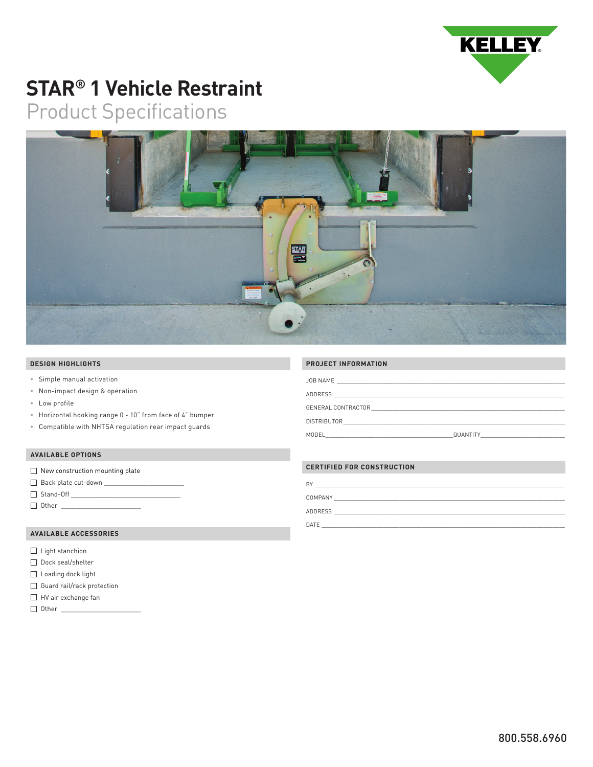

# **STAR® 1 Vehicle Restraint**

# Product Specifications



#### **DESIGN HIGHLIGHTS**

- Simple manual activation
- Non-impact design & operation
- Low profile
- Horizontal hooking range 0 10" from face of 4" bumper
- Compatible with NHTSA regulation rear impact guards

#### **AVAILABLE OPTIONS**

- $\Box$  New construction mounting plate
- Back plate cut-down
- $\boxed{\phantom{27} \Delta} \quad \text{Stand-Off} \quad \text{1.5}$
- Other \_\_\_\_\_\_\_\_\_\_\_\_\_\_\_\_\_\_\_\_\_\_

## **AVAILABLE ACCESSORIES**

- Light stanchion
- Dock seal/shelter
- $\square$  Loading dock light
- □ Guard rail/rack protection
- HV air exchange fan
- Other \_\_\_\_\_\_\_\_\_\_\_\_\_\_\_\_\_\_\_\_\_\_

#### **PROJECT INFORMATION**

| JOB NAME<br>the control of the control of the control of the control of the control of the control of                                                                                                                                               |                                                                                                                                                                                                                                      |
|-----------------------------------------------------------------------------------------------------------------------------------------------------------------------------------------------------------------------------------------------------|--------------------------------------------------------------------------------------------------------------------------------------------------------------------------------------------------------------------------------------|
| ADDRESS<br><u> 1989 - Johann Stein, mars an deutscher Stein und der Stein und der Stein und der Stein und der Stein und der</u>                                                                                                                     |                                                                                                                                                                                                                                      |
| GENERAL CONTRACTOR<br><u> 1980 - Jan Barbara, martxa al Indonesia (h. 1980).</u>                                                                                                                                                                    |                                                                                                                                                                                                                                      |
| <b>DISTRIBUTOR</b><br>the control of the control of the control of the control of the control of the control of the control of the control of the control of the control of the control of the control of the control of the control of the control |                                                                                                                                                                                                                                      |
|                                                                                                                                                                                                                                                     | QUANTITY <b>Andrew Contract Contract Contract Contract Contract Contract Contract Contract Contract Contract Contract Contract Contract Contract Contract Contract Contract Contract Contract Contract Contract Contract Contrac</b> |

### **CERTIFIED FOR CONSTRUCTION**

| BY      |  |  |
|---------|--|--|
| COMPANY |  |  |
| ADDRESS |  |  |
| DATE    |  |  |